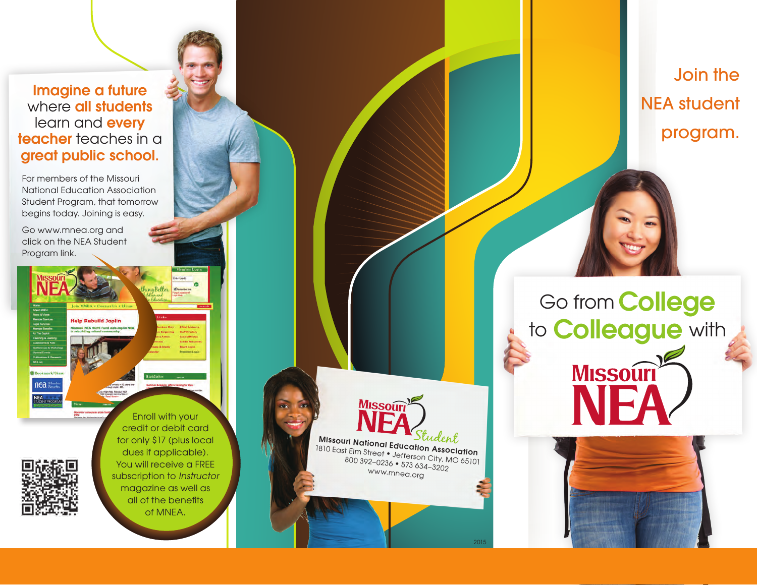Imagine a future where **all students** learn and **every** teacher teaches in a great public school.

For members of the Missouri National Education Association Student Program, that tomorrow begins today. Joining is easy.

Go www.mnea.org and click on the NEA Student Program link.

nea Me

Enroll with your credit or debit card for only \$17 (plus local dues if applicable). You will receive a FREE subscription to *Instructor*  magazine as well as all of the benefits of MNEA.

**MISSOUT** Missouri National Education Association 1810 East Elm Street • Jefferson City, MO 65101 800 392–0236 • 573 634–3202 www.mnea.org 2015

Join the NEA student program.

Go from College to **Colleague** with

**MISSOUTI** 

NEA